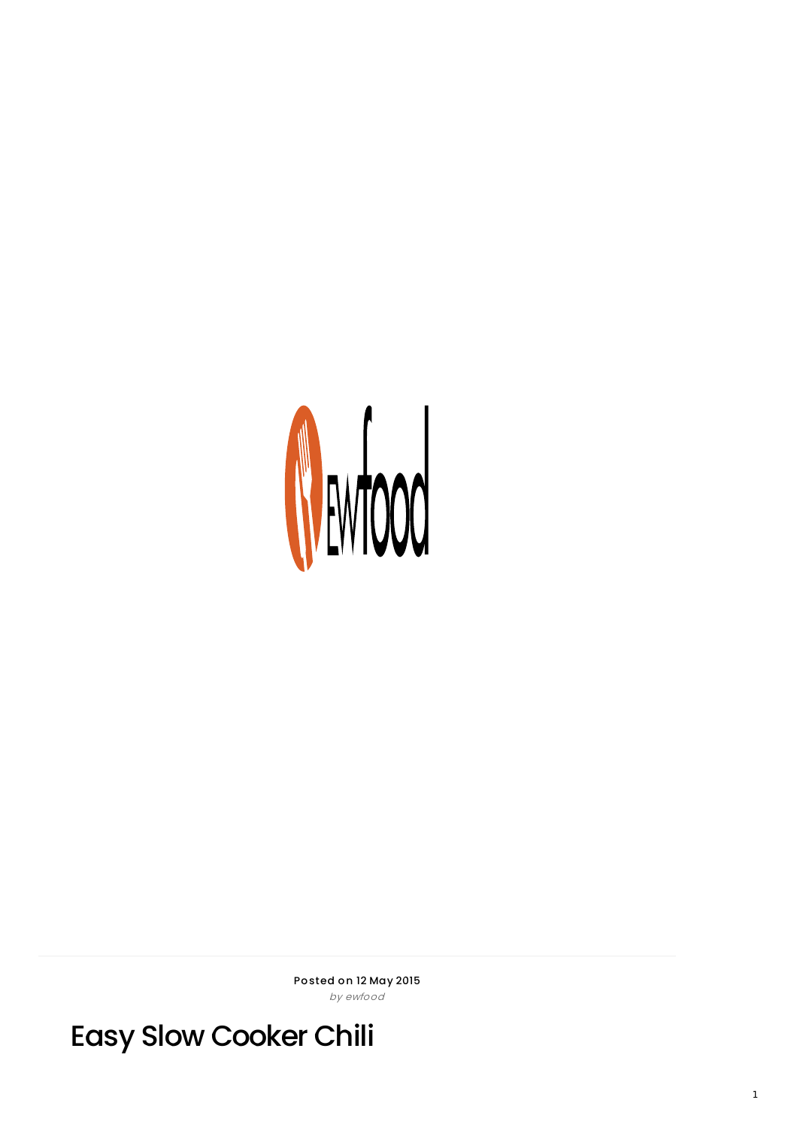

Posted on 12 May 2015 by ewfood

**Easy Slow Cooker Chili**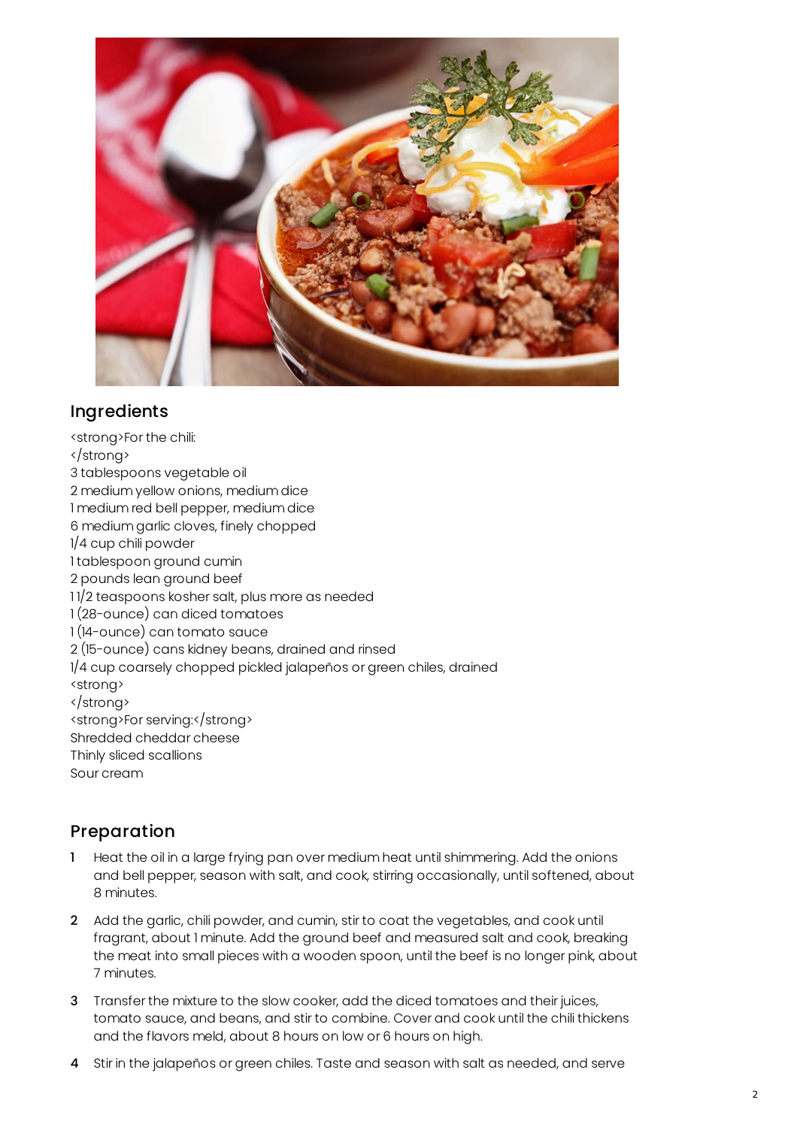

## Ingredients

<strong>For the chili: </strong> 3 tablespoons vegetable oil 2 medium yellow onions, medium dice 1 medium red bell pepper, medium dice 6 medium garlic cloves, finely chopped 1/4 cup chili powder 1 tablespoon ground cumin 2 pounds lean ground beef 1 1/2 teaspoons kosher salt, plus more as needed 1 (28-ounce) can diced tomatoes 1 (14-ounce) can tomato sauce 2 (15-ounce) cans kidney beans, drained and rinsed 1/4 cup coarsely chopped pickled jalapeños or green chiles, drained <strong> </strong> <strong>For serving:</strong> Shredded cheddar cheese Thinly sliced scallions Sour cream

## Preparation

- Heat the oil in a large frying pan over medium heat until shimmering. Add the onions and bell pepper, season with salt, and cook, stirring occasionally, until softened, about 8 minutes.
- 2 Add the garlic, chili powder, and cumin, stir to coat the vegetables, and cook until fragrant, about 1 minute. Add the ground beef and measured salt and cook, breaking the meat into small pieces with a wooden spoon, until the beef is no longer pink, about 7 minutes.
- 3 Transfer the mixture to the slow cooker, add the diced tomatoes and their juices, tomato sauce, and beans, and stir to combine. Cover and cook until the chili thickens and the flavors meld, about 8 hours on low or 6 hours on high.
- 4 Stir in the jalapeños or green chiles. Taste and season with salt as needed, and serve